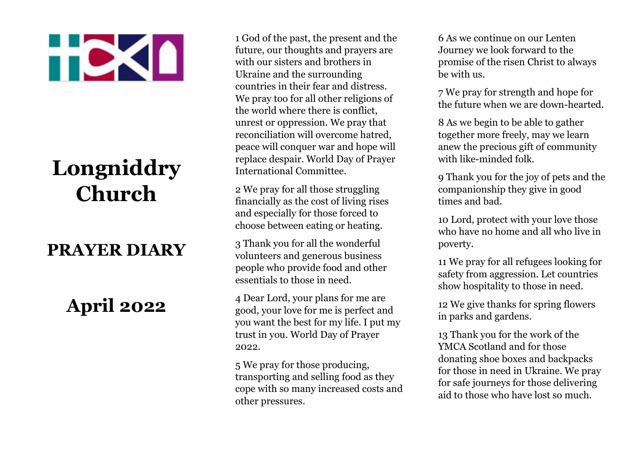## **TDKI**

## **Longniddry Church**

## **PRAYER DIARY**

## **April 2022**

1 God of the past, the present and the future, our thoughts and prayers are with our sisters and brothers in Ukraine and the surrounding countries in their fear and distress. We pray too for all other religions of the world where there is conflict, unrest or oppression. We pray that reconciliation will overcome hatred, peace will conquer war and hope will replace despair. World Day of Prayer International Committee.

2 We pray for all those struggling financially as the cost of living rises and especially for those forced to choose between eating or heating.

3 Thank you for all the wonderful volunteers and generous business people who provide food and other essentials to those in need.

4 Dear Lord, your plans for me are good, your love for me is perfect and you want the best for my life. I put my trust in you. World Day of Prayer 2022.

5 We pray for those producing, transporting and selling food as they cope with so many increased costs and other pressures.

6 As we continue on our Lenten Journey we look forward to the promise of the risen Christ to always be with us.

7 We pray for strength and hope for the future when we are down-hearted.

8 As we begin to be able to gather together more freely, may we learn anew the precious gift of community with like-minded folk

9 Thank you for the joy of pets and the companionship they give in good times and bad.

10 Lord, protect with your love those who have no home and all who live in poverty.

11 We pray for all refugees looking for safety from aggression. Let countries show hospitality to those in need.

12 We give thanks for spring flowers in parks and gardens.

13 Thank you for the work of the YMCA Scotland and for those donating shoe boxes and backpacks for those in need in Ukraine. We pray for safe journeys for those delivering aid to those who have lost so much.